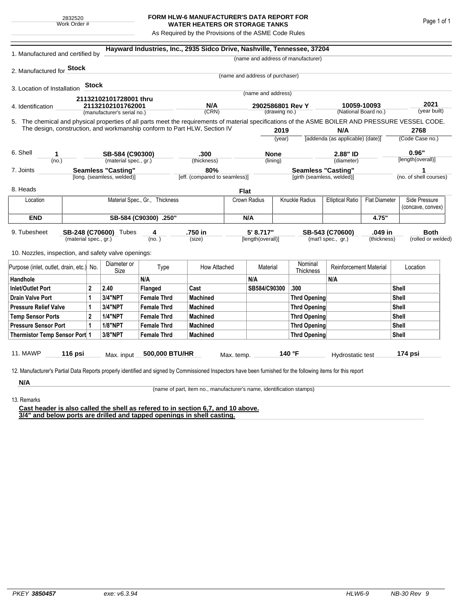## **FORM HLW-6 MANUFACTURER'S DATA REPORT FOR WATER HEATERS OR STORAGE TANKS**

As Required by the Provisions of the ASME Code Rules

| 1. Manufactured and certified by                                                                                                                                                                                                                               |                                |              |                                                         |                       | Hayward Industries, Inc., 2935 Sidco Drive, Nashville, Tennessee, 37204 |             |                                       |                                   |                                    |                                     |       |                                    |         |  |
|----------------------------------------------------------------------------------------------------------------------------------------------------------------------------------------------------------------------------------------------------------------|--------------------------------|--------------|---------------------------------------------------------|-----------------------|-------------------------------------------------------------------------|-------------|---------------------------------------|-----------------------------------|------------------------------------|-------------------------------------|-------|------------------------------------|---------|--|
|                                                                                                                                                                                                                                                                |                                |              |                                                         |                       |                                                                         |             |                                       |                                   | (name and address of manufacturer) |                                     |       |                                    |         |  |
| 2. Manufactured for <b>Stock</b>                                                                                                                                                                                                                               |                                |              |                                                         |                       |                                                                         |             |                                       |                                   |                                    |                                     |       |                                    |         |  |
|                                                                                                                                                                                                                                                                |                                |              |                                                         |                       |                                                                         |             | (name and address of purchaser)       |                                   |                                    |                                     |       |                                    |         |  |
| 3. Location of Installation                                                                                                                                                                                                                                    |                                | <b>Stock</b> |                                                         |                       |                                                                         |             | (name and address)                    |                                   |                                    |                                     |       |                                    |         |  |
|                                                                                                                                                                                                                                                                |                                |              | 21132102101728001 thru                                  |                       |                                                                         |             |                                       |                                   |                                    |                                     |       |                                    |         |  |
| 4. Identification                                                                                                                                                                                                                                              |                                |              | 21132102101762001<br>(manufacturer's serial no.)        |                       | N/A<br>(CRN)                                                            |             | 2902586801 Rev Y<br>(drawing no.)     |                                   |                                    | 10059-10093<br>(National Board no.) |       | 2021<br>(year built)               |         |  |
|                                                                                                                                                                                                                                                                |                                |              |                                                         |                       |                                                                         |             |                                       |                                   |                                    |                                     |       |                                    |         |  |
| 5. The chemical and physical properties of all parts meet the requirements of material specifications of the ASME BOILER AND PRESSURE VESSEL CODE.<br>The design, construction, and workmanship conform to Part HLW, Section IV<br>2019<br>N/A                 |                                |              |                                                         |                       |                                                                         |             |                                       |                                   | 2768                               |                                     |       |                                    |         |  |
|                                                                                                                                                                                                                                                                |                                |              |                                                         |                       |                                                                         |             | (vear)                                |                                   |                                    | [addenda (as applicable) (date)]    |       | (Code Case no.)                    |         |  |
| 6. Shell<br>1<br>(no.)                                                                                                                                                                                                                                         |                                |              | SB-584 (C90300)                                         |                       | .300                                                                    |             | <b>None</b>                           |                                   | 2.88" ID                           |                                     |       |                                    | 0.96"   |  |
|                                                                                                                                                                                                                                                                |                                |              | (material spec., gr.)                                   |                       | (thickness)                                                             |             | (lining)                              |                                   | (diameter)                         |                                     |       | [length(overall)]                  |         |  |
| 7. Joints                                                                                                                                                                                                                                                      |                                |              | <b>Seamless "Casting"</b><br>[long. (seamless, welded)] |                       | 80%<br>[eff. (compared to seamless)]                                    |             | <b>Seamless "Casting"</b>             |                                   |                                    |                                     |       | 1                                  |         |  |
|                                                                                                                                                                                                                                                                |                                |              |                                                         |                       |                                                                         |             |                                       |                                   | [girth (seamless, welded)]         |                                     |       | (no. of shell courses)             |         |  |
| 8. Heads                                                                                                                                                                                                                                                       |                                |              |                                                         |                       |                                                                         | <b>Flat</b> |                                       |                                   |                                    |                                     |       |                                    |         |  |
| Location                                                                                                                                                                                                                                                       | Material Spec., Gr., Thickness |              |                                                         |                       |                                                                         |             | <b>Knuckle Radius</b><br>Crown Radius |                                   | <b>Elliptical Ratio</b>            | <b>Flat Diameter</b>                |       | Side Pressure<br>(concave, convex) |         |  |
| <b>END</b>                                                                                                                                                                                                                                                     |                                |              |                                                         | SB-584 (C90300) .250" |                                                                         |             | N/A                                   |                                   |                                    |                                     | 4.75" |                                    |         |  |
| 5' 8.717"<br>9. Tubesheet<br>SB-248 (C70600) Tubes<br>.750 in<br>.049 in<br>4<br>SB-543 (C70600)<br>(material spec., gr.)<br>(no. )<br>(size)<br>[length(overall)]<br>(mat'l spec., gr.)<br>(thickness)<br>10. Nozzles, inspection, and safety valve openings: |                                |              |                                                         |                       |                                                                         |             |                                       | <b>Both</b><br>(rolled or welded) |                                    |                                     |       |                                    |         |  |
| Purpose (inlet, outlet, drain, etc.) No.                                                                                                                                                                                                                       |                                |              | Diameter or<br>Size                                     | Type                  | How Attached                                                            |             | Material                              |                                   | Nominal<br>Thickness               | <b>Reinforcement Material</b>       |       | Location                           |         |  |
| Handhole                                                                                                                                                                                                                                                       |                                |              |                                                         | N/A                   |                                                                         |             | N/A                                   |                                   |                                    | N/A                                 |       |                                    |         |  |
| $\mathbf{2}$<br>Inlet/Outlet Port                                                                                                                                                                                                                              |                                |              | 2.40                                                    | Flanged               | Cast                                                                    |             | SB584/C90300                          |                                   | .300                               |                                     |       | Shell                              |         |  |
| 1<br>Drain Valve Port                                                                                                                                                                                                                                          |                                |              | 3/4"NPT                                                 | <b>Female Thrd</b>    | <b>Machined</b>                                                         |             |                                       |                                   | <b>Thrd Opening</b>                |                                     |       | Shell                              |         |  |
| <b>Pressure Relief Valve</b><br>1                                                                                                                                                                                                                              |                                |              | 3/4"NPT                                                 | <b>Female Thrd</b>    | <b>Machined</b>                                                         |             |                                       |                                   | <b>Thrd Opening</b>                |                                     |       |                                    | Shell   |  |
| $\overline{2}$<br><b>Temp Sensor Ports</b>                                                                                                                                                                                                                     |                                |              | <b>1/4"NPT</b>                                          | <b>Female Thrd</b>    | <b>Machined</b>                                                         |             |                                       | <b>Thrd Opening</b>               |                                    |                                     |       | Shell                              |         |  |
| <b>Pressure Sensor Port</b><br>1                                                                                                                                                                                                                               |                                |              | <b>1/8"NPT</b>                                          | <b>Female Thrd</b>    | <b>Machined</b>                                                         |             |                                       | <b>Thrd Opening</b>               |                                    |                                     |       | Shell                              |         |  |
| Thermistor Temp Sensor Port 1                                                                                                                                                                                                                                  |                                |              | 3/8"NPT                                                 | <b>Female Thrd</b>    | <b>Machined</b>                                                         |             |                                       |                                   | <b>Thrd Opening</b>                |                                     | Shell |                                    |         |  |
| 11. MAWP<br>12. Manufacturer's Partial Data Reports properly identified and signed by Commissioned Inspectors have been furnished for the following items for this report                                                                                      | 116 psi                        |              | Max. input                                              | 500,000 BTU/HR        |                                                                         | Max. temp.  |                                       |                                   | 140 °F                             | Hydrostatic test                    |       |                                    | 174 psi |  |
| N/A                                                                                                                                                                                                                                                            |                                |              |                                                         |                       |                                                                         |             |                                       |                                   |                                    |                                     |       |                                    |         |  |

(name of part, item no., manufacturer's name, identification stamps)

13. Remarks

**Cast header is also called the shell as refered to in section 6,7, and 10 above. 3/4" and below ports are drilled and tapped openings in shell casting.**